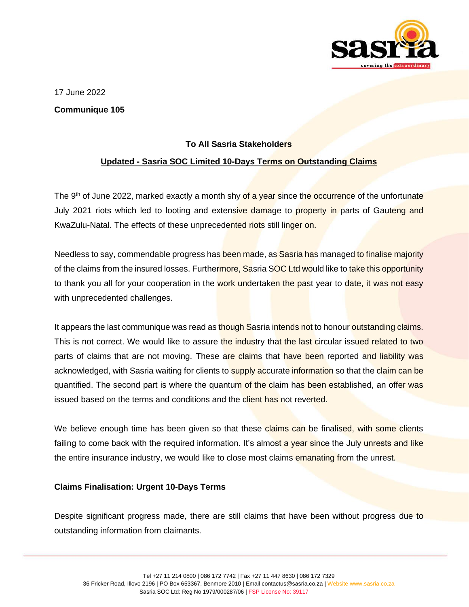

17 June 2022

**Communique 105**

## **To All Sasria Stakeholders**

## **Updated - Sasria SOC Limited 10-Days Terms on Outstanding Claims**

The 9<sup>th</sup> of June 2022, marked exactly a month shy of a year since the occurrence of the unfortunate July 2021 riots which led to looting and extensive damage to property in parts of Gauteng and KwaZulu-Natal. The effects of these unprecedented riots still linger on.

Needless to say, commendable progress has been made, as Sasria has managed to finalise majority of the claims from the insured losses. Furthermore, Sasria SOC Ltd would like to take this opportunity to thank you all for your cooperation in the work undertaken the past year to date, it was not easy with unprecedented challenges.

It appears the last communique was read as though Sasria intends not to honour outstanding claims. This is not correct. We would like to assure the industry that the last circular issued related to two parts of claims that are not moving. These are claims that have been reported and liability was acknowledged, with Sasria waiting for clients to supply accurate information so that the claim can be quantified. The second part is where the quantum of the claim has been established, an offer was issued based on the terms and conditions and the client has not reverted.

We believe enough time has been given so that these claims can be finalised, with some clients failing to come back with the required information. It's almost a year since the July unrests and like the entire insurance industry, we would like to close most claims emanating from the unrest.

## **Claims Finalisation: Urgent 10-Days Terms**

Despite significant progress made, there are still claims that have been without progress due to outstanding information from claimants.